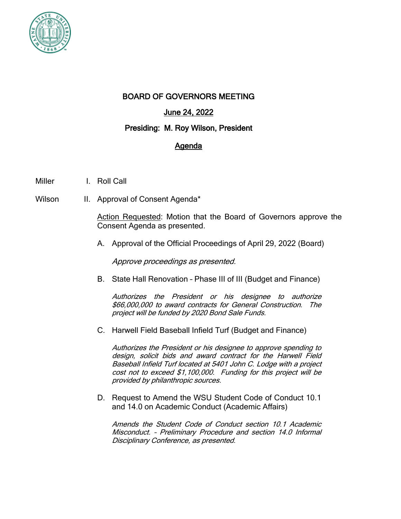

## BOARD OF GOVERNORS MEETING

# June 24, 2022

### Presiding: M. Roy Wilson, President

# Agenda

- Miller I. Roll Call
- Wilson II. Approval of Consent Agenda\*

Action Requested: Motion that the Board of Governors approve the Consent Agenda as presented.

A. Approval of the Official Proceedings of April 29, 2022 (Board)

Approve proceedings as presented.

B. State Hall Renovation – Phase III of III (Budget and Finance)

Authorizes the President or his designee to authorize \$66,000,000 to award contracts for General Construction. The project will be funded by 2020 Bond Sale Funds.

C. Harwell Field Baseball Infield Turf (Budget and Finance)

Authorizes the President or his designee to approve spending to design, solicit bids and award contract for the Harwell Field Baseball Infield Turf located at 5401 John C. Lodge with a project cost not to exceed \$1,100,000. Funding for this project will be provided by philanthropic sources.

D. Request to Amend the WSU Student Code of Conduct 10.1 and 14.0 on Academic Conduct (Academic Affairs)

Amends the Student Code of Conduct section 10.1 Academic Misconduct. – Preliminary Procedure and section 14.0 Informal Disciplinary Conference, as presented.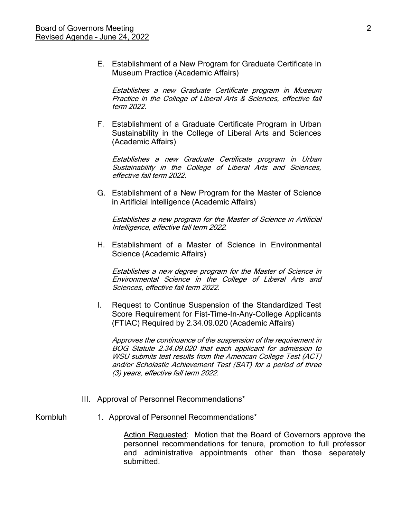E. Establishment of a New Program for Graduate Certificate in Museum Practice (Academic Affairs)

Establishes a new Graduate Certificate program in Museum Practice in the College of Liberal Arts & Sciences, effective fall term 2022.

F. Establishment of a Graduate Certificate Program in Urban Sustainability in the College of Liberal Arts and Sciences (Academic Affairs)

Establishes a new Graduate Certificate program in Urban Sustainability in the College of Liberal Arts and Sciences, effective fall term 2022.

G. Establishment of a New Program for the Master of Science in Artificial Intelligence (Academic Affairs)

Establishes a new program for the Master of Science in Artificial Intelligence, effective fall term 2022.

H. Establishment of a Master of Science in Environmental Science (Academic Affairs)

Establishes a new degree program for the Master of Science in Environmental Science in the College of Liberal Arts and Sciences, effective fall term 2022.

I. Request to Continue Suspension of the Standardized Test Score Requirement for Fist-Time-In-Any-College Applicants (FTIAC) Required by 2.34.09.020 (Academic Affairs)

Approves the continuance of the suspension of the requirement in BOG Statute 2.34.09.020 that each applicant for admission to WSU submits test results from the American College Test (ACT) and/or Scholastic Achievement Test (SAT) for a period of three (3) years, effective fall term 2022.

III. Approval of Personnel Recommendations\*

Kornbluh 1. Approval of Personnel Recommendations\*

Action Requested: Motion that the Board of Governors approve the personnel recommendations for tenure, promotion to full professor and administrative appointments other than those separately submitted.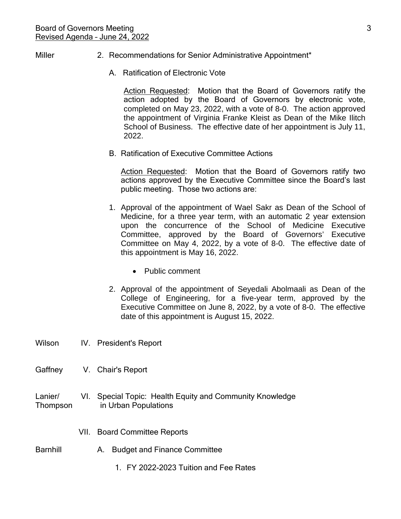#### Miller 2. Recommendations for Senior Administrative Appointment\*

A. Ratification of Electronic Vote

Action Requested: Motion that the Board of Governors ratify the action adopted by the Board of Governors by electronic vote, completed on May 23, 2022, with a vote of 8-0. The action approved the appointment of Virginia Franke Kleist as Dean of the Mike Ilitch School of Business. The effective date of her appointment is July 11, 2022.

B. Ratification of Executive Committee Actions

Action Requested: Motion that the Board of Governors ratify two actions approved by the Executive Committee since the Board's last public meeting. Those two actions are:

- 1. Approval of the appointment of Wael Sakr as Dean of the School of Medicine, for a three year term, with an automatic 2 year extension upon the concurrence of the School of Medicine Executive Committee, approved by the Board of Governors' Executive Committee on May 4, 2022, by a vote of 8-0. The effective date of this appointment is May 16, 2022.
	- Public comment
- 2. Approval of the appointment of Seyedali Abolmaali as Dean of the College of Engineering, for a five-year term, approved by the Executive Committee on June 8, 2022, by a vote of 8-0. The effective date of this appointment is August 15, 2022.
- Wilson IV. President's Report
- Gaffney V. Chair's Report
- Lanier/ VI. Special Topic: Health Equity and Community Knowledge Thompson in Urban Populations
	- VII. Board Committee Reports
- Barnhill **A.** Budget and Finance Committee
	- 1. FY 2022-2023 Tuition and Fee Rates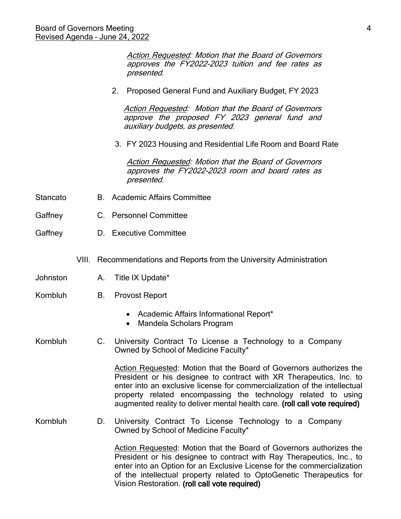presented. 2. Proposed General Fund and Auxiliary Budget, FY 2023 Action Requested: Motion that the Board of Governors approve the proposed FY 2023 general fund and auxiliary budgets, as presented. 3. FY 2023 Housing and Residential Life Room and Board Rate **Action Requested: Motion that the Board of Governors** approves the FY2022-2023 room and board rates as presented. Stancato B. Academic Affairs Committee Gaffney C. Personnel Committee Gaffney D. Executive Committee VIII. Recommendations and Reports from the University Administration Johnston A. Title IX Update\* Kornbluh B. Provost Report • Academic Affairs Informational Report\* • Mandela Scholars Program Kornbluh C. University Contract To License a Technology to a Company Owned by School of Medicine Faculty\* Action Requested: Motion that the Board of Governors authorizes the President or his designee to contract with XR Therapeutics, Inc. to enter into an exclusive license for commercialization of the intellectual property related encompassing the technology related to using augmented reality to deliver mental health care. (roll call vote required) Kornbluh D. University Contract To License Technology to a Company Owned by School of Medicine Faculty\*

Action Requested: Motion that the Board of Governors approves the FY2022-2023 tuition and fee rates as

Action Requested: Motion that the Board of Governors authorizes the President or his designee to contract with Ray Therapeutics, Inc., to enter into an Option for an Exclusive License for the commercialization of the intellectual property related to OptoGenetic Therapeutics for Vision Restoration. (roll call vote required)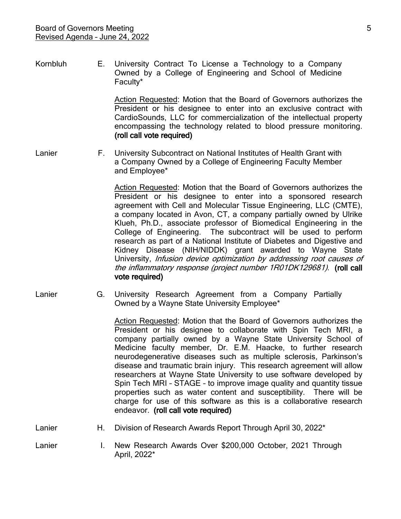Kornbluh E. University Contract To License a Technology to a Company Owned by a College of Engineering and School of Medicine Faculty\*

> Action Requested: Motion that the Board of Governors authorizes the President or his designee to enter into an exclusive contract with CardioSounds, LLC for commercialization of the intellectual property encompassing the technology related to blood pressure monitoring. (roll call vote required)

Lanier F. University Subcontract on National Institutes of Health Grant with a Company Owned by a College of Engineering Faculty Member and Employee\*

> Action Requested: Motion that the Board of Governors authorizes the President or his designee to enter into a sponsored research agreement with Cell and Molecular Tissue Engineering, LLC (CMTE), a company located in Avon, CT, a company partially owned by Ulrike Klueh, Ph.D., associate professor of Biomedical Engineering in the College of Engineering. The subcontract will be used to perform research as part of a National Institute of Diabetes and Digestive and Kidney Disease (NIH/NIDDK) grant awarded to Wayne State University, Infusion device optimization by addressing root causes of the inflammatory response (project number 1R01DK129681). (roll call vote required)

Lanier G. University Research Agreement from a Company Partially Owned by a Wayne State University Employee\*

> Action Requested: Motion that the Board of Governors authorizes the President or his designee to collaborate with Spin Tech MRI, a company partially owned by a Wayne State University School of Medicine faculty member, Dr. E.M. Haacke, to further research neurodegenerative diseases such as multiple sclerosis, Parkinson's disease and traumatic brain injury. This research agreement will allow researchers at Wayne State University to use software developed by Spin Tech MRI – STAGE – to improve image quality and quantity tissue properties such as water content and susceptibility. There will be charge for use of this software as this is a collaborative research endeavor. (roll call vote required)

- Lanier **H.** Division of Research Awards Report Through April 30, 2022<sup>\*</sup>
- Lanier **I.** New Research Awards Over \$200,000 October, 2021 Through April, 2022\*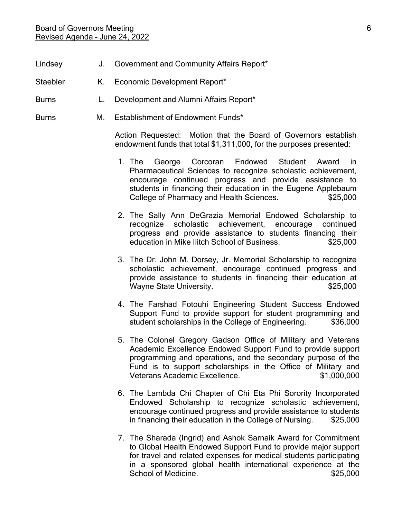- Lindsey **J.** Government and Community Affairs Report\*
- Staebler K. Economic Development Report\*
- Burns **L.** Development and Alumni Affairs Report\*
- Burns M. Establishment of Endowment Funds\*

Action Requested: Motion that the Board of Governors establish endowment funds that total \$1,311,000, for the purposes presented:

- 1. The George Corcoran Endowed Student Award in Pharmaceutical Sciences to recognize scholastic achievement, encourage continued progress and provide assistance to students in financing their education in the Eugene Applebaum College of Pharmacy and Health Sciences.  $$25,000$
- 2. The Sally Ann DeGrazia Memorial Endowed Scholarship to recognize scholastic achievement, encourage continued progress and provide assistance to students financing their education in Mike Ilitch School of Business.  $$25,000$
- 3. The Dr. John M. Dorsey, Jr. Memorial Scholarship to recognize scholastic achievement, encourage continued progress and provide assistance to students in financing their education at Wayne State University. Notice that the set of the set of the set of the set of the set of the set of the set o
- 4. The Farshad Fotouhi Engineering Student Success Endowed Support Fund to provide support for student programming and student scholarships in the College of Engineering. \$36,000
- 5. The Colonel Gregory Gadson Office of Military and Veterans Academic Excellence Endowed Support Fund to provide support programming and operations, and the secondary purpose of the Fund is to support scholarships in the Office of Military and Veterans Academic Excellence. \$1,000,000
- 6. The Lambda Chi Chapter of Chi Eta Phi Sorority Incorporated Endowed Scholarship to recognize scholastic achievement, encourage continued progress and provide assistance to students in financing their education in the College of Nursing. \$25,000
- 7. The Sharada (Ingrid) and Ashok Sarnaik Award for Commitment to Global Health Endowed Support Fund to provide major support for travel and related expenses for medical students participating in a sponsored global health international experience at the School of Medicine. <br>\$25,000